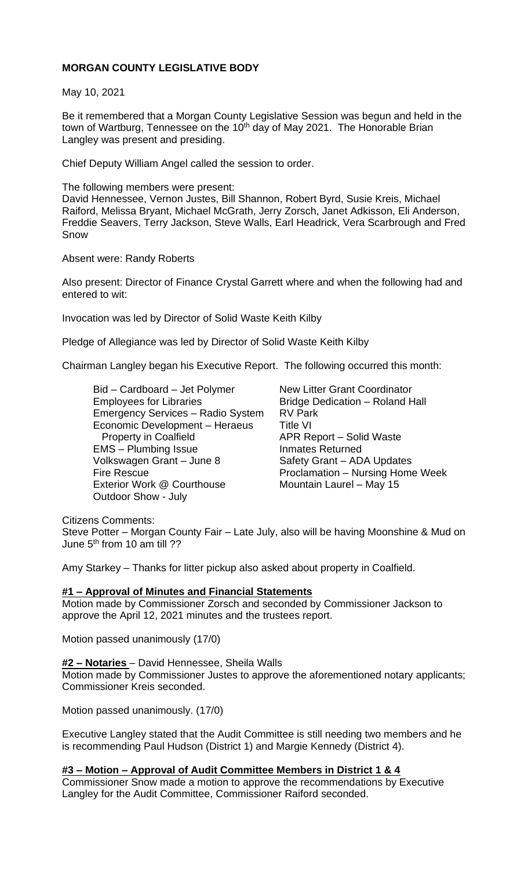# **MORGAN COUNTY LEGISLATIVE BODY**

May 10, 2021

Be it remembered that a Morgan County Legislative Session was begun and held in the town of Wartburg, Tennessee on the 10<sup>th</sup> day of May 2021. The Honorable Brian Langley was present and presiding.

Chief Deputy William Angel called the session to order.

The following members were present: David Hennessee, Vernon Justes, Bill Shannon, Robert Byrd, Susie Kreis, Michael Raiford, Melissa Bryant, Michael McGrath, Jerry Zorsch, Janet Adkisson, Eli Anderson, Freddie Seavers, Terry Jackson, Steve Walls, Earl Headrick, Vera Scarbrough and Fred Snow

Absent were: Randy Roberts

Also present: Director of Finance Crystal Garrett where and when the following had and entered to wit:

Invocation was led by Director of Solid Waste Keith Kilby

Pledge of Allegiance was led by Director of Solid Waste Keith Kilby

Chairman Langley began his Executive Report. The following occurred this month:

Bid – Cardboard – Jet Polymer New Litter Grant Coordinator Employees for Libraries **Bridge Dedication – Roland Hall** Emergency Services – Radio System RV Park Economic Development – Heraeus Title VI Property in Coalfield **APR Report – Solid Waste** EMS – Plumbing Issue Inmates Returned Volkswagen Grant – June 8 Safety Grant – ADA Updates Fire Rescue **Proclamation – Nursing Home Week** Exterior Work @ Courthouse Mountain Laurel – May 15 Outdoor Show - July

Citizens Comments:

Steve Potter – Morgan County Fair – Late July, also will be having Moonshine & Mud on June 5<sup>th</sup> from 10 am till ??

Amy Starkey – Thanks for litter pickup also asked about property in Coalfield.

#### **#1 – Approval of Minutes and Financial Statements**

Motion made by Commissioner Zorsch and seconded by Commissioner Jackson to approve the April 12, 2021 minutes and the trustees report.

Motion passed unanimously (17/0)

#### **#2 – Notaries** – David Hennessee, Sheila Walls

Motion made by Commissioner Justes to approve the aforementioned notary applicants; Commissioner Kreis seconded.

Motion passed unanimously. (17/0)

Executive Langley stated that the Audit Committee is still needing two members and he is recommending Paul Hudson (District 1) and Margie Kennedy (District 4).

### **#3 – Motion – Approval of Audit Committee Members in District 1 & 4**

Commissioner Snow made a motion to approve the recommendations by Executive Langley for the Audit Committee, Commissioner Raiford seconded.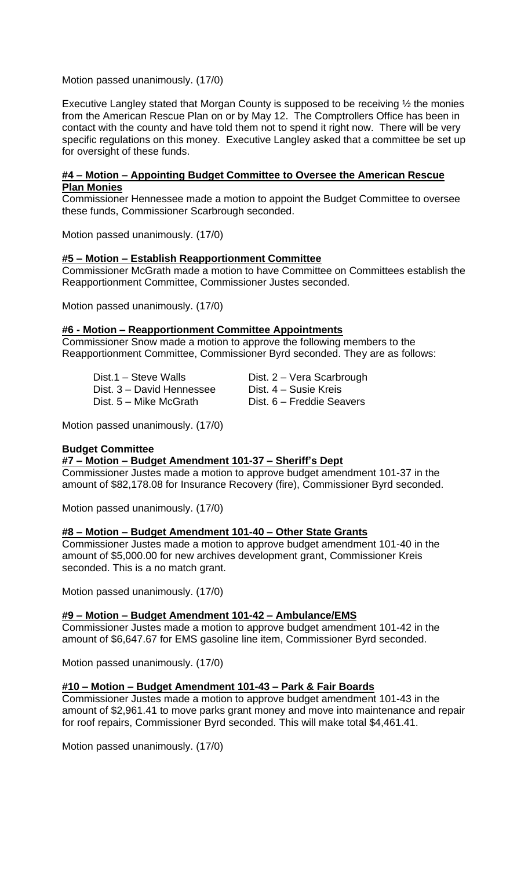Motion passed unanimously. (17/0)

Executive Langley stated that Morgan County is supposed to be receiving ½ the monies from the American Rescue Plan on or by May 12. The Comptrollers Office has been in contact with the county and have told them not to spend it right now. There will be very specific regulations on this money. Executive Langley asked that a committee be set up for oversight of these funds.

## **#4 – Motion – Appointing Budget Committee to Oversee the American Rescue Plan Monies**

Commissioner Hennessee made a motion to appoint the Budget Committee to oversee these funds, Commissioner Scarbrough seconded.

Motion passed unanimously. (17/0)

## **#5 – Motion – Establish Reapportionment Committee**

Commissioner McGrath made a motion to have Committee on Committees establish the Reapportionment Committee, Commissioner Justes seconded.

Motion passed unanimously. (17/0)

### **#6 - Motion – Reapportionment Committee Appointments**

Commissioner Snow made a motion to approve the following members to the Reapportionment Committee, Commissioner Byrd seconded. They are as follows:

Dist.1 – Steve Walls **Dist. 2 – Vera Scarbrough** Dist. 3 – David Hennessee Dist. 4 – Susie Kreis Dist. 5 – Mike McGrath Dist. 6 – Freddie Seavers

Motion passed unanimously. (17/0)

### **Budget Committee**

### **#7 – Motion – Budget Amendment 101-37 – Sheriff's Dept**

Commissioner Justes made a motion to approve budget amendment 101-37 in the amount of \$82,178.08 for Insurance Recovery (fire), Commissioner Byrd seconded.

Motion passed unanimously. (17/0)

### **#8 – Motion – Budget Amendment 101-40 – Other State Grants**

Commissioner Justes made a motion to approve budget amendment 101-40 in the amount of \$5,000.00 for new archives development grant, Commissioner Kreis seconded. This is a no match grant.

Motion passed unanimously. (17/0)

### **#9 – Motion – Budget Amendment 101-42 – Ambulance/EMS**

Commissioner Justes made a motion to approve budget amendment 101-42 in the amount of \$6,647.67 for EMS gasoline line item, Commissioner Byrd seconded.

Motion passed unanimously. (17/0)

### **#10 – Motion – Budget Amendment 101-43 – Park & Fair Boards**

Commissioner Justes made a motion to approve budget amendment 101-43 in the amount of \$2,961.41 to move parks grant money and move into maintenance and repair for roof repairs, Commissioner Byrd seconded. This will make total \$4,461.41.

Motion passed unanimously. (17/0)